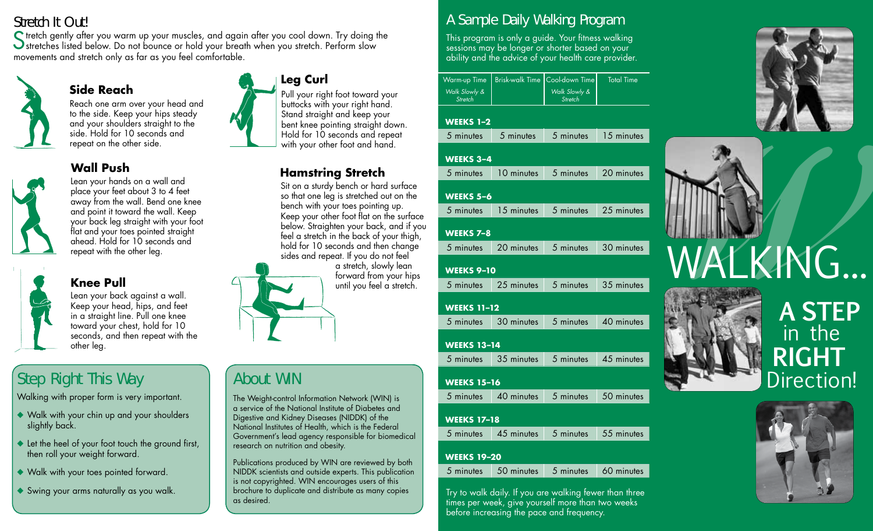Stretch It Out!<br>C tretch gently after you warm up your muscles, and again after you cool down. Try doing the Stretch gently after you warm up your muscles, and again after you cool down. Try doing the stretches listed below. Do not bounce or hold your breath when you stretch. Perform slow movements and stretch only as far as you feel comfortable.



### **Side Reach**

Reach one arm over your head and to the side. Keep your hips steady and your shoulders straight to the side. Hold for 10 seconds and repeat on the other side.

## **Wall Push**



Lean your hands on a wall and place your feet about 3 to 4 feet away from the wall. Bend one knee and point it toward the wall. Keep your back leg straight with your foot flat and your toes pointed straight ahead. Hold for 10 seconds and repeat with the other leg.



#### **Knee Pull**

Lean your back against a wall. Keep your head, hips, and feet in a straight line. Pull one knee toward your chest, hold for 10 seconds, and then repeat with the other leg.

## Step Right This Way

Walking with proper form is very important.

- ◆ Walk with your chin up and your shoulders slightly back.
- $\triangle$  Let the heel of your foot touch the ground first, then roll your weight forward.
- Walk with your toes pointed forward.
- $\blacklozenge$  Swing your arms naturally as you walk.



Pull your right foot toward your buttocks with your right hand. Stand straight and keep your bent knee pointing straight down. Hold for 10 seconds and repeat with your other foot and hand.

## **Hamstring Stretch**

Sit on a sturdy bench or hard surface so that one leg is stretched out on the bench with your toes pointing up. Keep your other foot flat on the surface below. Straighten your back, and if you feel a stretch in the back of your thigh, hold for 10 seconds and then change sides and repeat. If you do not feel



The Weight-control Information Network (WIN) is a service of the National Institute of Diabetes and Digestive and Kidney Diseases (NIDDK) of the National Institutes of Health, which is the Federal Government's lead agency responsible for biomedical

Publications produced by WIN are reviewed by both NIDDK scientists and outside experts. This publication is not copyrighted. WIN encourages users of this brochure to duplicate and distribute as many copies

research on nutrition and obesity.

About WIN

as desired.

a stretch, slowly lean forward from your hips until you feel a stretch.

## A Sample Daily Walking Program

This program is only a guide. Your fitness walking sessions may be longer or shorter based on your ability and the advice of your health care provider.

|                                 | Warm-up Time   Brisk-walk Time   Cool-down Time | <b>Total Time</b> |
|---------------------------------|-------------------------------------------------|-------------------|
| Walk Slowly &<br><b>Stretch</b> | Walk Slowly &<br>Stretch                        |                   |

#### **WEEKS 1–2**

|           | 5 minutes 5 minutes 5 minutes 15 minutes  |  |  |  |  |  |
|-----------|-------------------------------------------|--|--|--|--|--|
| WEEKS 3-4 |                                           |  |  |  |  |  |
|           | 5 minutes 10 minutes 5 minutes 20 minutes |  |  |  |  |  |

#### **WEEKS 5–6**

#### **WEEKS 7–8**

5 minutes 20 minutes 5 minutes 30 minutes

#### **WEEKS 9–10**

| 5 minutes | 25 minutes | 5 minutes | 35 minutes |
|-----------|------------|-----------|------------|
|-----------|------------|-----------|------------|

#### **WEEKS 11–12**

5 minutes 30 minutes 5 minutes 40 minutes

#### **WEEKS 13–14**

5 minutes 35 minutes 5 minutes 45 minutes

#### **WEEKS 15–16**

5 minutes 40 minutes 5 minutes 50 minutes

#### **WEEKS 17–18**

5 minutes 45 minutes 5 minutes 55 minutes

#### **WEEKS 19–20**

5 minutes 50 minutes 5 minutes 60 minutes

Try to walk daily. If you are walking fewer than three times per week, give yourself more than two weeks before increasing the pace and frequency.





# WALKING...



## **A STEP** in the **RIGHT** Direction!